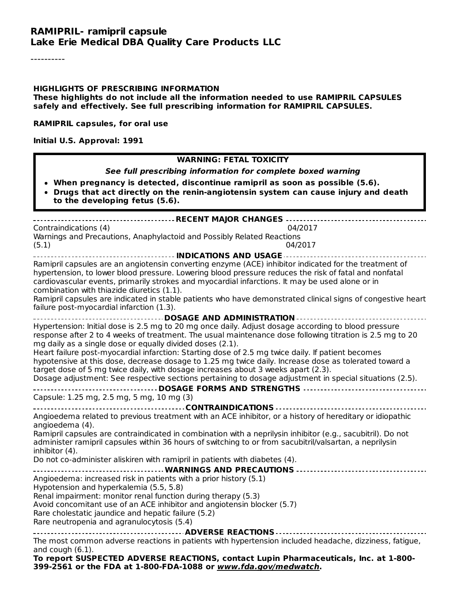#### **RAMIPRIL- ramipril capsule Lake Erie Medical DBA Quality Care Products LLC**

----------

#### **HIGHLIGHTS OF PRESCRIBING INFORMATION**

**These highlights do not include all the information needed to use RAMIPRIL CAPSULES safely and effectively. See full prescribing information for RAMIPRIL CAPSULES.**

**RAMIPRIL capsules, for oral use**

**Initial U.S. Approval: 1991**

#### **WARNING: FETAL TOXICITY**

**See full prescribing information for complete boxed warning**

- **When pregnancy is detected, discontinue ramipril as soon as possible (5.6).**
- **Drugs that act directly on the renin-angiotensin system can cause injury and death to the developing fetus (5.6).**

**RECENT MAJOR CHANGES** Contraindications (4) 04/2017 Warnings and Precautions, Anaphylactoid and Possibly Related Reactions (5.1) 04/2017 **INDICATIONS AND USAGE** Ramipril capsules are an angiotensin converting enzyme (ACE) inhibitor indicated for the treatment of

hypertension, to lower blood pressure. Lowering blood pressure reduces the risk of fatal and nonfatal cardiovascular events, primarily strokes and myocardial infarctions. It may be used alone or in combination with thiazide diuretics (1.1).

Ramipril capsules are indicated in stable patients who have demonstrated clinical signs of congestive heart failure post-myocardial infarction (1.3).

**DOSAGE AND ADMINISTRATION** Hypertension: Initial dose is 2.5 mg to 20 mg once daily. Adjust dosage according to blood pressure response after 2 to 4 weeks of treatment. The usual maintenance dose following titration is 2.5 mg to 20 mg daily as a single dose or equally divided doses (2.1).

Heart failure post-myocardial infarction: Starting dose of 2.5 mg twice daily. If patient becomes hypotensive at this dose, decrease dosage to 1.25 mg twice daily. Increase dose as tolerated toward a target dose of 5 mg twice daily, with dosage increases about 3 weeks apart (2.3).

Dosage adjustment: See respective sections pertaining to dosage adjustment in special situations (2.5).

**DOSAGE FORMS AND STRENGTHS** Capsule: 1.25 mg, 2.5 mg, 5 mg, 10 mg (3)

**CONTRAINDICATIONS** Angioedema related to previous treatment with an ACE inhibitor, or a history of hereditary or idiopathic angioedema (4).

Ramipril capsules are contraindicated in combination with a neprilysin inhibitor (e.g., sacubitril). Do not administer ramipril capsules within 36 hours of switching to or from sacubitril/valsartan, a neprilysin inhibitor (4).

Do not co-administer aliskiren with ramipril in patients with diabetes (4).

**WARNINGS AND PRECAUTIONS**

Angioedema: increased risk in patients with a prior history (5.1)

Hypotension and hyperkalemia (5.5, 5.8)

Renal impairment: monitor renal function during therapy (5.3)

Avoid concomitant use of an ACE inhibitor and angiotensin blocker (5.7)

Rare cholestatic jaundice and hepatic failure (5.2)

Rare neutropenia and agranulocytosis (5.4)

**ADVERSE REACTIONS** The most common adverse reactions in patients with hypertension included headache, dizziness, fatigue, and cough (6.1).

**To report SUSPECTED ADVERSE REACTIONS, contact Lupin Pharmaceuticals, Inc. at 1-800- 399-2561 or the FDA at 1-800-FDA-1088 or www.fda.gov/medwatch.**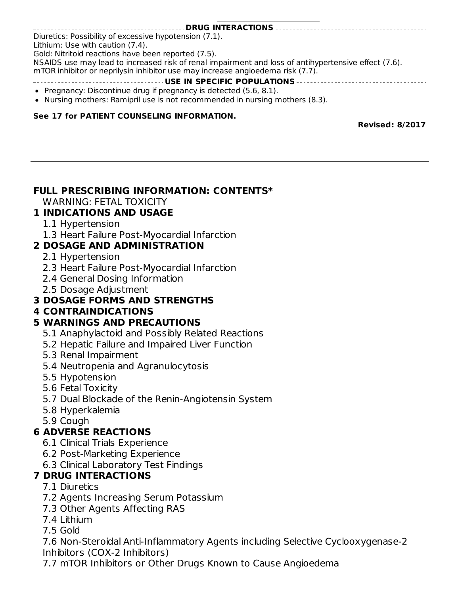#### **399-2561 or the FDA at 1-800-FDA-1088 or www.fda.gov/medwatch. DRUG INTERACTIONS** Diuretics: Possibility of excessive hypotension (7.1). Lithium: Use with caution (7.4). Gold: Nitritoid reactions have been reported (7.5). NSAIDS use may lead to increased risk of renal impairment and loss of antihypertensive effect (7.6). mTOR inhibitor or neprilysin inhibitor use may increase angioedema risk (7.7). **USE IN SPECIFIC POPULATIONS**

- Pregnancy: Discontinue drug if pregnancy is detected  $(5.6, 8.1)$ .
- Nursing mothers: Ramipril use is not recommended in nursing mothers (8.3).

#### **See 17 for PATIENT COUNSELING INFORMATION.**

**Revised: 8/2017**

#### **FULL PRESCRIBING INFORMATION: CONTENTS\***

WARNING: FETAL TOXICITY

#### **1 INDICATIONS AND USAGE**

- 1.1 Hypertension
- 1.3 Heart Failure Post-Myocardial Infarction

#### **2 DOSAGE AND ADMINISTRATION**

- 2.1 Hypertension
- 2.3 Heart Failure Post-Myocardial Infarction
- 2.4 General Dosing Information
- 2.5 Dosage Adjustment

#### **3 DOSAGE FORMS AND STRENGTHS**

#### **4 CONTRAINDICATIONS**

#### **5 WARNINGS AND PRECAUTIONS**

- 5.1 Anaphylactoid and Possibly Related Reactions
- 5.2 Hepatic Failure and Impaired Liver Function
- 5.3 Renal Impairment
- 5.4 Neutropenia and Agranulocytosis
- 5.5 Hypotension
- 5.6 Fetal Toxicity
- 5.7 Dual Blockade of the Renin-Angiotensin System
- 5.8 Hyperkalemia
- 5.9 Cough

#### **6 ADVERSE REACTIONS**

- 6.1 Clinical Trials Experience
- 6.2 Post-Marketing Experience
- 6.3 Clinical Laboratory Test Findings

#### **7 DRUG INTERACTIONS**

- 7.1 Diuretics
- 7.2 Agents Increasing Serum Potassium
- 7.3 Other Agents Affecting RAS
- 7.4 Lithium
- 7.5 Gold

7.6 Non-Steroidal Anti-Inflammatory Agents including Selective Cyclooxygenase-2 Inhibitors (COX-2 Inhibitors)

7.7 mTOR Inhibitors or Other Drugs Known to Cause Angioedema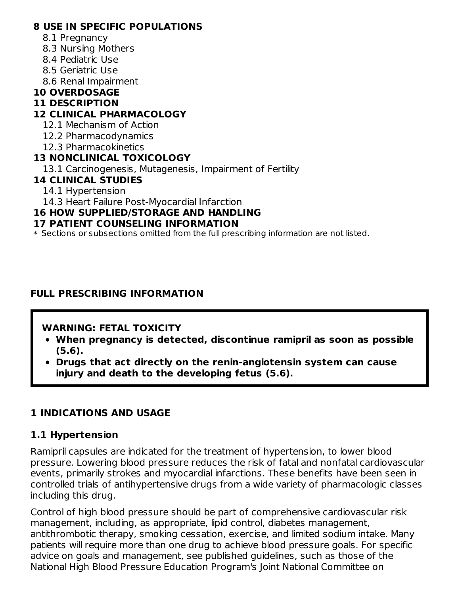#### **8 USE IN SPECIFIC POPULATIONS**

- 8.1 Pregnancy
- 8.3 Nursing Mothers
- 8.4 Pediatric Use
- 8.5 Geriatric Use
- 8.6 Renal Impairment

#### **10 OVERDOSAGE**

#### **11 DESCRIPTION**

#### **12 CLINICAL PHARMACOLOGY**

- 12.1 Mechanism of Action
- 12.2 Pharmacodynamics
- 12.3 Pharmacokinetics

#### **13 NONCLINICAL TOXICOLOGY**

13.1 Carcinogenesis, Mutagenesis, Impairment of Fertility

#### **14 CLINICAL STUDIES**

14.1 Hypertension

14.3 Heart Failure Post-Myocardial Infarction

#### **16 HOW SUPPLIED/STORAGE AND HANDLING**

#### **17 PATIENT COUNSELING INFORMATION**

 $\ast$  Sections or subsections omitted from the full prescribing information are not listed.

#### **FULL PRESCRIBING INFORMATION**

#### **WARNING: FETAL TOXICITY**

- **When pregnancy is detected, discontinue ramipril as soon as possible (5.6).**
- **Drugs that act directly on the renin-angiotensin system can cause injury and death to the developing fetus (5.6).**

#### **1 INDICATIONS AND USAGE**

#### **1.1 Hypertension**

Ramipril capsules are indicated for the treatment of hypertension, to lower blood pressure. Lowering blood pressure reduces the risk of fatal and nonfatal cardiovascular events, primarily strokes and myocardial infarctions. These benefits have been seen in controlled trials of antihypertensive drugs from a wide variety of pharmacologic classes including this drug.

Control of high blood pressure should be part of comprehensive cardiovascular risk management, including, as appropriate, lipid control, diabetes management, antithrombotic therapy, smoking cessation, exercise, and limited sodium intake. Many patients will require more than one drug to achieve blood pressure goals. For specific advice on goals and management, see published guidelines, such as those of the National High Blood Pressure Education Program's Joint National Committee on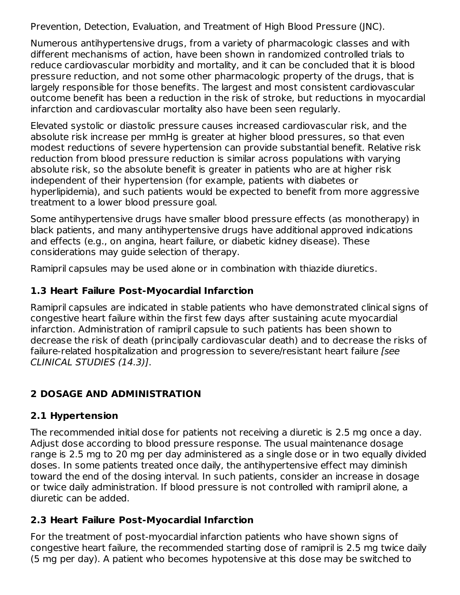Prevention, Detection, Evaluation, and Treatment of High Blood Pressure (JNC).

Numerous antihypertensive drugs, from a variety of pharmacologic classes and with different mechanisms of action, have been shown in randomized controlled trials to reduce cardiovascular morbidity and mortality, and it can be concluded that it is blood pressure reduction, and not some other pharmacologic property of the drugs, that is largely responsible for those benefits. The largest and most consistent cardiovascular outcome benefit has been a reduction in the risk of stroke, but reductions in myocardial infarction and cardiovascular mortality also have been seen regularly.

Elevated systolic or diastolic pressure causes increased cardiovascular risk, and the absolute risk increase per mmHg is greater at higher blood pressures, so that even modest reductions of severe hypertension can provide substantial benefit. Relative risk reduction from blood pressure reduction is similar across populations with varying absolute risk, so the absolute benefit is greater in patients who are at higher risk independent of their hypertension (for example, patients with diabetes or hyperlipidemia), and such patients would be expected to benefit from more aggressive treatment to a lower blood pressure goal.

Some antihypertensive drugs have smaller blood pressure effects (as monotherapy) in black patients, and many antihypertensive drugs have additional approved indications and effects (e.g., on angina, heart failure, or diabetic kidney disease). These considerations may guide selection of therapy.

Ramipril capsules may be used alone or in combination with thiazide diuretics.

#### **1.3 Heart Failure Post-Myocardial Infarction**

Ramipril capsules are indicated in stable patients who have demonstrated clinical signs of congestive heart failure within the first few days after sustaining acute myocardial infarction. Administration of ramipril capsule to such patients has been shown to decrease the risk of death (principally cardiovascular death) and to decrease the risks of failure-related hospitalization and progression to severe/resistant heart failure [see CLINICAL STUDIES (14.3)].

## **2 DOSAGE AND ADMINISTRATION**

#### **2.1 Hypertension**

The recommended initial dose for patients not receiving a diuretic is 2.5 mg once a day. Adjust dose according to blood pressure response. The usual maintenance dosage range is 2.5 mg to 20 mg per day administered as a single dose or in two equally divided doses. In some patients treated once daily, the antihypertensive effect may diminish toward the end of the dosing interval. In such patients, consider an increase in dosage or twice daily administration. If blood pressure is not controlled with ramipril alone, a diuretic can be added.

#### **2.3 Heart Failure Post-Myocardial Infarction**

For the treatment of post-myocardial infarction patients who have shown signs of congestive heart failure, the recommended starting dose of ramipril is 2.5 mg twice daily (5 mg per day). A patient who becomes hypotensive at this dose may be switched to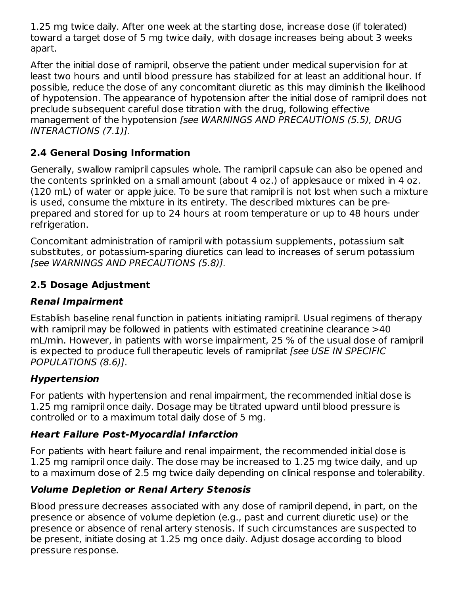1.25 mg twice daily. After one week at the starting dose, increase dose (if tolerated) toward a target dose of 5 mg twice daily, with dosage increases being about 3 weeks apart.

After the initial dose of ramipril, observe the patient under medical supervision for at least two hours and until blood pressure has stabilized for at least an additional hour. If possible, reduce the dose of any concomitant diuretic as this may diminish the likelihood of hypotension. The appearance of hypotension after the initial dose of ramipril does not preclude subsequent careful dose titration with the drug, following effective management of the hypotension [see WARNINGS AND PRECAUTIONS (5.5), DRUG INTERACTIONS (7.1)].

## **2.4 General Dosing Information**

Generally, swallow ramipril capsules whole. The ramipril capsule can also be opened and the contents sprinkled on a small amount (about 4 oz.) of applesauce or mixed in 4 oz. (120 mL) of water or apple juice. To be sure that ramipril is not lost when such a mixture is used, consume the mixture in its entirety. The described mixtures can be preprepared and stored for up to 24 hours at room temperature or up to 48 hours under refrigeration.

Concomitant administration of ramipril with potassium supplements, potassium salt substitutes, or potassium-sparing diuretics can lead to increases of serum potassium [see WARNINGS AND PRECAUTIONS (5.8)].

#### **2.5 Dosage Adjustment**

#### **Renal Impairment**

Establish baseline renal function in patients initiating ramipril. Usual regimens of therapy with ramipril may be followed in patients with estimated creatinine clearance >40 mL/min. However, in patients with worse impairment, 25 % of the usual dose of ramipril is expected to produce full therapeutic levels of ramiprilat [see USE IN SPECIFIC POPULATIONS (8.6)].

#### **Hypertension**

For patients with hypertension and renal impairment, the recommended initial dose is 1.25 mg ramipril once daily. Dosage may be titrated upward until blood pressure is controlled or to a maximum total daily dose of 5 mg.

#### **Heart Failure Post-Myocardial Infarction**

For patients with heart failure and renal impairment, the recommended initial dose is 1.25 mg ramipril once daily. The dose may be increased to 1.25 mg twice daily, and up to a maximum dose of 2.5 mg twice daily depending on clinical response and tolerability.

#### **Volume Depletion or Renal Artery Stenosis**

Blood pressure decreases associated with any dose of ramipril depend, in part, on the presence or absence of volume depletion (e.g., past and current diuretic use) or the presence or absence of renal artery stenosis. If such circumstances are suspected to be present, initiate dosing at 1.25 mg once daily. Adjust dosage according to blood pressure response.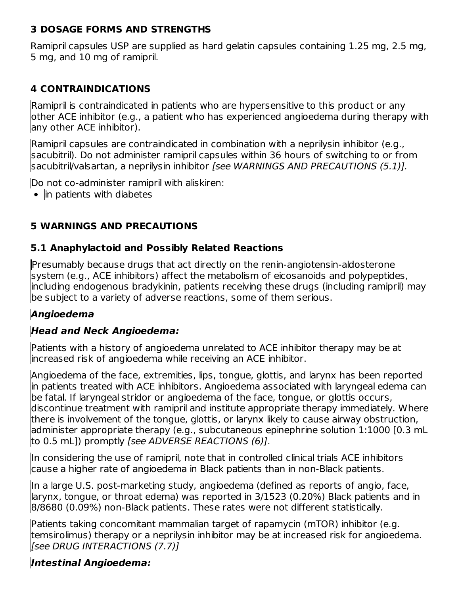#### **3 DOSAGE FORMS AND STRENGTHS**

Ramipril capsules USP are supplied as hard gelatin capsules containing 1.25 mg, 2.5 mg, 5 mg, and 10 mg of ramipril.

#### **4 CONTRAINDICATIONS**

Ramipril is contraindicated in patients who are hypersensitive to this product or any other ACE inhibitor (e.g., a patient who has experienced angioedema during therapy with any other ACE inhibitor).

Ramipril capsules are contraindicated in combination with a neprilysin inhibitor (e.g., sacubitril). Do not administer ramipril capsules within 36 hours of switching to or from sacubitril/valsartan, a neprilysin inhibitor [see WARNINGS AND PRECAUTIONS (5.1)].

Do not co-administer ramipril with aliskiren:

• In patients with diabetes

## **5 WARNINGS AND PRECAUTIONS**

#### **5.1 Anaphylactoid and Possibly Related Reactions**

Presumably because drugs that act directly on the renin-angiotensin-aldosterone system (e.g., ACE inhibitors) affect the metabolism of eicosanoids and polypeptides, including endogenous bradykinin, patients receiving these drugs (including ramipril) may be subject to a variety of adverse reactions, some of them serious.

## **Angioedema**

#### **Head and Neck Angioedema:**

Patients with a history of angioedema unrelated to ACE inhibitor therapy may be at increased risk of angioedema while receiving an ACE inhibitor.

Angioedema of the face, extremities, lips, tongue, glottis, and larynx has been reported in patients treated with ACE inhibitors. Angioedema associated with laryngeal edema can be fatal. If laryngeal stridor or angioedema of the face, tongue, or glottis occurs, discontinue treatment with ramipril and institute appropriate therapy immediately. Where there is involvement of the tongue, glottis, or larynx likely to cause airway obstruction, administer appropriate therapy (e.g., subcutaneous epinephrine solution 1:1000 [0.3 mL to 0.5 mL]) promptly [see ADVERSE REACTIONS (6)].

In considering the use of ramipril, note that in controlled clinical trials ACE inhibitors cause a higher rate of angioedema in Black patients than in non-Black patients.

In a large U.S. post-marketing study, angioedema (defined as reports of angio, face, larynx, tongue, or throat edema) was reported in 3/1523 (0.20%) Black patients and in 8/8680 (0.09%) non-Black patients. These rates were not different statistically.

Patients taking concomitant mammalian target of rapamycin (mTOR) inhibitor (e.g. temsirolimus) therapy or a neprilysin inhibitor may be at increased risk for angioedema. [see DRUG INTERACTIONS (7.7)]

#### **Intestinal Angioedema:**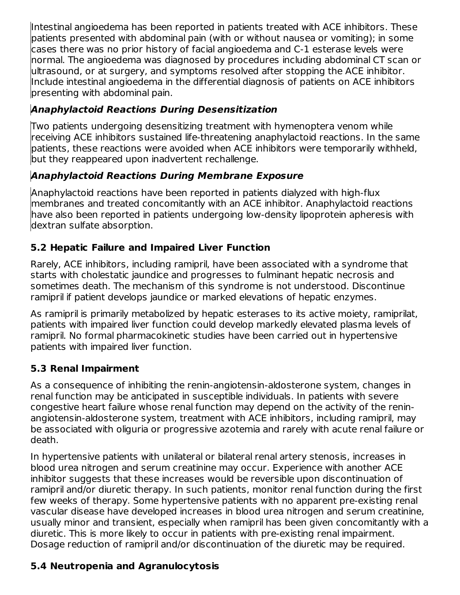Intestinal angioedema has been reported in patients treated with ACE inhibitors. These patients presented with abdominal pain (with or without nausea or vomiting); in some cases there was no prior history of facial angioedema and C-1 esterase levels were normal. The angioedema was diagnosed by procedures including abdominal CT scan or ultrasound, or at surgery, and symptoms resolved after stopping the ACE inhibitor. Include intestinal angioedema in the differential diagnosis of patients on ACE inhibitors presenting with abdominal pain.

## **Anaphylactoid Reactions During Desensitization**

Two patients undergoing desensitizing treatment with hymenoptera venom while receiving ACE inhibitors sustained life-threatening anaphylactoid reactions. In the same patients, these reactions were avoided when ACE inhibitors were temporarily withheld, but they reappeared upon inadvertent rechallenge.

## **Anaphylactoid Reactions During Membrane Exposure**

Anaphylactoid reactions have been reported in patients dialyzed with high-flux membranes and treated concomitantly with an ACE inhibitor. Anaphylactoid reactions have also been reported in patients undergoing low-density lipoprotein apheresis with dextran sulfate absorption.

## **5.2 Hepatic Failure and Impaired Liver Function**

Rarely, ACE inhibitors, including ramipril, have been associated with a syndrome that starts with cholestatic jaundice and progresses to fulminant hepatic necrosis and sometimes death. The mechanism of this syndrome is not understood. Discontinue ramipril if patient develops jaundice or marked elevations of hepatic enzymes.

As ramipril is primarily metabolized by hepatic esterases to its active moiety, ramiprilat, patients with impaired liver function could develop markedly elevated plasma levels of ramipril. No formal pharmacokinetic studies have been carried out in hypertensive patients with impaired liver function.

## **5.3 Renal Impairment**

As a consequence of inhibiting the renin-angiotensin-aldosterone system, changes in renal function may be anticipated in susceptible individuals. In patients with severe congestive heart failure whose renal function may depend on the activity of the reninangiotensin-aldosterone system, treatment with ACE inhibitors, including ramipril, may be associated with oliguria or progressive azotemia and rarely with acute renal failure or death.

In hypertensive patients with unilateral or bilateral renal artery stenosis, increases in blood urea nitrogen and serum creatinine may occur. Experience with another ACE inhibitor suggests that these increases would be reversible upon discontinuation of ramipril and/or diuretic therapy. In such patients, monitor renal function during the first few weeks of therapy. Some hypertensive patients with no apparent pre-existing renal vascular disease have developed increases in blood urea nitrogen and serum creatinine, usually minor and transient, especially when ramipril has been given concomitantly with a diuretic. This is more likely to occur in patients with pre-existing renal impairment. Dosage reduction of ramipril and/or discontinuation of the diuretic may be required.

#### **5.4 Neutropenia and Agranulocytosis**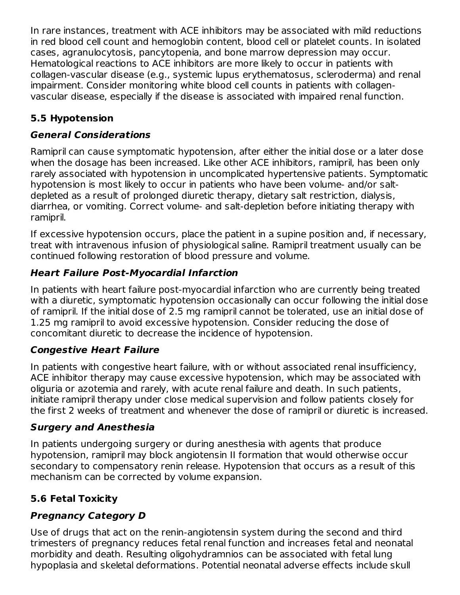In rare instances, treatment with ACE inhibitors may be associated with mild reductions in red blood cell count and hemoglobin content, blood cell or platelet counts. In isolated cases, agranulocytosis, pancytopenia, and bone marrow depression may occur. Hematological reactions to ACE inhibitors are more likely to occur in patients with collagen-vascular disease (e.g., systemic lupus erythematosus, scleroderma) and renal impairment. Consider monitoring white blood cell counts in patients with collagenvascular disease, especially if the disease is associated with impaired renal function.

## **5.5 Hypotension**

#### **General Considerations**

Ramipril can cause symptomatic hypotension, after either the initial dose or a later dose when the dosage has been increased. Like other ACE inhibitors, ramipril, has been only rarely associated with hypotension in uncomplicated hypertensive patients. Symptomatic hypotension is most likely to occur in patients who have been volume- and/or saltdepleted as a result of prolonged diuretic therapy, dietary salt restriction, dialysis, diarrhea, or vomiting. Correct volume- and salt-depletion before initiating therapy with ramipril.

If excessive hypotension occurs, place the patient in a supine position and, if necessary, treat with intravenous infusion of physiological saline. Ramipril treatment usually can be continued following restoration of blood pressure and volume.

#### **Heart Failure Post-Myocardial Infarction**

In patients with heart failure post-myocardial infarction who are currently being treated with a diuretic, symptomatic hypotension occasionally can occur following the initial dose of ramipril. If the initial dose of 2.5 mg ramipril cannot be tolerated, use an initial dose of 1.25 mg ramipril to avoid excessive hypotension. Consider reducing the dose of concomitant diuretic to decrease the incidence of hypotension.

#### **Congestive Heart Failure**

In patients with congestive heart failure, with or without associated renal insufficiency, ACE inhibitor therapy may cause excessive hypotension, which may be associated with oliguria or azotemia and rarely, with acute renal failure and death. In such patients, initiate ramipril therapy under close medical supervision and follow patients closely for the first 2 weeks of treatment and whenever the dose of ramipril or diuretic is increased.

#### **Surgery and Anesthesia**

In patients undergoing surgery or during anesthesia with agents that produce hypotension, ramipril may block angiotensin II formation that would otherwise occur secondary to compensatory renin release. Hypotension that occurs as a result of this mechanism can be corrected by volume expansion.

## **5.6 Fetal Toxicity**

## **Pregnancy Category D**

Use of drugs that act on the renin-angiotensin system during the second and third trimesters of pregnancy reduces fetal renal function and increases fetal and neonatal morbidity and death. Resulting oligohydramnios can be associated with fetal lung hypoplasia and skeletal deformations. Potential neonatal adverse effects include skull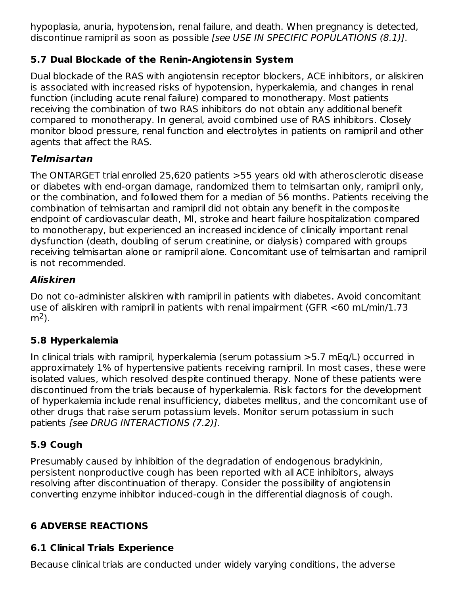hypoplasia, anuria, hypotension, renal failure, and death. When pregnancy is detected, discontinue ramipril as soon as possible [see USE IN SPECIFIC POPULATIONS (8.1)].

#### **5.7 Dual Blockade of the Renin-Angiotensin System**

Dual blockade of the RAS with angiotensin receptor blockers, ACE inhibitors, or aliskiren is associated with increased risks of hypotension, hyperkalemia, and changes in renal function (including acute renal failure) compared to monotherapy. Most patients receiving the combination of two RAS inhibitors do not obtain any additional benefit compared to monotherapy. In general, avoid combined use of RAS inhibitors. Closely monitor blood pressure, renal function and electrolytes in patients on ramipril and other agents that affect the RAS.

#### **Telmisartan**

The ONTARGET trial enrolled 25,620 patients >55 years old with atherosclerotic disease or diabetes with end-organ damage, randomized them to telmisartan only, ramipril only, or the combination, and followed them for a median of 56 months. Patients receiving the combination of telmisartan and ramipril did not obtain any benefit in the composite endpoint of cardiovascular death, MI, stroke and heart failure hospitalization compared to monotherapy, but experienced an increased incidence of clinically important renal dysfunction (death, doubling of serum creatinine, or dialysis) compared with groups receiving telmisartan alone or ramipril alone. Concomitant use of telmisartan and ramipril is not recommended.

#### **Aliskiren**

Do not co-administer aliskiren with ramipril in patients with diabetes. Avoid concomitant use of aliskiren with ramipril in patients with renal impairment (GFR <60 mL/min/1.73 m<sup>2</sup>).

#### **5.8 Hyperkalemia**

In clinical trials with ramipril, hyperkalemia (serum potassium >5.7 mEq/L) occurred in approximately 1% of hypertensive patients receiving ramipril. In most cases, these were isolated values, which resolved despite continued therapy. None of these patients were discontinued from the trials because of hyperkalemia. Risk factors for the development of hyperkalemia include renal insufficiency, diabetes mellitus, and the concomitant use of other drugs that raise serum potassium levels. Monitor serum potassium in such patients [see DRUG INTERACTIONS (7.2)].

## **5.9 Cough**

Presumably caused by inhibition of the degradation of endogenous bradykinin, persistent nonproductive cough has been reported with all ACE inhibitors, always resolving after discontinuation of therapy. Consider the possibility of angiotensin converting enzyme inhibitor induced-cough in the differential diagnosis of cough.

## **6 ADVERSE REACTIONS**

#### **6.1 Clinical Trials Experience**

Because clinical trials are conducted under widely varying conditions, the adverse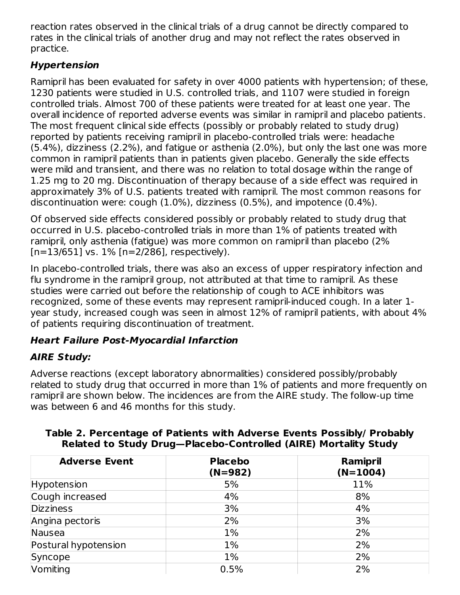reaction rates observed in the clinical trials of a drug cannot be directly compared to rates in the clinical trials of another drug and may not reflect the rates observed in practice.

## **Hypertension**

Ramipril has been evaluated for safety in over 4000 patients with hypertension; of these, 1230 patients were studied in U.S. controlled trials, and 1107 were studied in foreign controlled trials. Almost 700 of these patients were treated for at least one year. The overall incidence of reported adverse events was similar in ramipril and placebo patients. The most frequent clinical side effects (possibly or probably related to study drug) reported by patients receiving ramipril in placebo-controlled trials were: headache (5.4%), dizziness (2.2%), and fatigue or asthenia (2.0%), but only the last one was more common in ramipril patients than in patients given placebo. Generally the side effects were mild and transient, and there was no relation to total dosage within the range of 1.25 mg to 20 mg. Discontinuation of therapy because of a side effect was required in approximately 3% of U.S. patients treated with ramipril. The most common reasons for discontinuation were: cough (1.0%), dizziness (0.5%), and impotence (0.4%).

Of observed side effects considered possibly or probably related to study drug that occurred in U.S. placebo-controlled trials in more than 1% of patients treated with ramipril, only asthenia (fatigue) was more common on ramipril than placebo (2%  $[n=13/651]$  vs.  $1\%$   $[n=2/286]$ , respectively).

In placebo-controlled trials, there was also an excess of upper respiratory infection and flu syndrome in the ramipril group, not attributed at that time to ramipril. As these studies were carried out before the relationship of cough to ACE inhibitors was recognized, some of these events may represent ramipril-induced cough. In a later 1 year study, increased cough was seen in almost 12% of ramipril patients, with about 4% of patients requiring discontinuation of treatment.

## **Heart Failure Post-Myocardial Infarction**

## **AIRE Study:**

Adverse reactions (except laboratory abnormalities) considered possibly/probably related to study drug that occurred in more than 1% of patients and more frequently on ramipril are shown below. The incidences are from the AIRE study. The follow-up time was between 6 and 46 months for this study.

| <b>Adverse Event</b> | <b>Placebo</b><br>$(N=982)$ | Ramipril<br>$(N=1004)$ |
|----------------------|-----------------------------|------------------------|
| Hypotension          | 5%                          | 11%                    |
| Cough increased      | 4%                          | 8%                     |
| <b>Dizziness</b>     | 3%                          | 4%                     |
| Angina pectoris      | 2%                          | 3%                     |
| Nausea               | $1\%$                       | 2%                     |
| Postural hypotension | 1%                          | 2%                     |
| Syncope              | 1%                          | 2%                     |
| Vomiting             | 0.5%                        | 2%                     |

**Table 2. Percentage of Patients with Adverse Events Possibly/ Probably Related to Study Drug—Placebo-Controlled (AIRE) Mortality Study**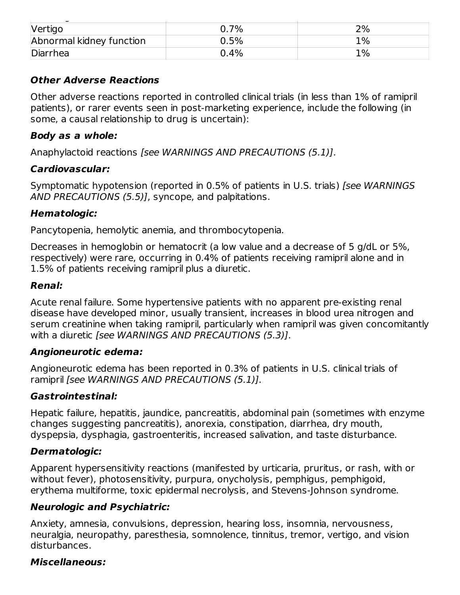| Vertigo                  | 0.7%    | 2%    |
|--------------------------|---------|-------|
| Abnormal kidney function | 0.5%    | $1\%$ |
| Diarrhea                 | $0.4\%$ | 1%    |

#### **Other Adverse Reactions**

Other adverse reactions reported in controlled clinical trials (in less than 1% of ramipril patients), or rarer events seen in post-marketing experience, include the following (in some, a causal relationship to drug is uncertain):

#### **Body as a whole:**

Anaphylactoid reactions [see WARNINGS AND PRECAUTIONS (5.1)].

#### **Cardiovascular:**

Symptomatic hypotension (reported in 0.5% of patients in U.S. trials) [see WARNINGS AND PRECAUTIONS (5.5)], syncope, and palpitations.

#### **Hematologic:**

Pancytopenia, hemolytic anemia, and thrombocytopenia.

Decreases in hemoglobin or hematocrit (a low value and a decrease of 5 g/dL or 5%, respectively) were rare, occurring in 0.4% of patients receiving ramipril alone and in 1.5% of patients receiving ramipril plus a diuretic.

#### **Renal:**

Acute renal failure. Some hypertensive patients with no apparent pre-existing renal disease have developed minor, usually transient, increases in blood urea nitrogen and serum creatinine when taking ramipril, particularly when ramipril was given concomitantly with a diuretic [see WARNINGS AND PRECAUTIONS (5.3)].

#### **Angioneurotic edema:**

Angioneurotic edema has been reported in 0.3% of patients in U.S. clinical trials of ramipril [see WARNINGS AND PRECAUTIONS (5.1)].

## **Gastrointestinal:**

Hepatic failure, hepatitis, jaundice, pancreatitis, abdominal pain (sometimes with enzyme changes suggesting pancreatitis), anorexia, constipation, diarrhea, dry mouth, dyspepsia, dysphagia, gastroenteritis, increased salivation, and taste disturbance.

## **Dermatologic:**

Apparent hypersensitivity reactions (manifested by urticaria, pruritus, or rash, with or without fever), photosensitivity, purpura, onycholysis, pemphigus, pemphigoid, erythema multiforme, toxic epidermal necrolysis, and Stevens-Johnson syndrome.

## **Neurologic and Psychiatric:**

Anxiety, amnesia, convulsions, depression, hearing loss, insomnia, nervousness, neuralgia, neuropathy, paresthesia, somnolence, tinnitus, tremor, vertigo, and vision disturbances.

## **Miscellaneous:**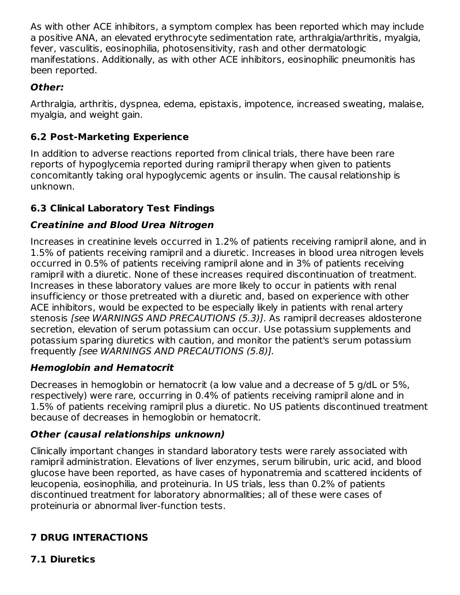As with other ACE inhibitors, a symptom complex has been reported which may include a positive ANA, an elevated erythrocyte sedimentation rate, arthralgia/arthritis, myalgia, fever, vasculitis, eosinophilia, photosensitivity, rash and other dermatologic manifestations. Additionally, as with other ACE inhibitors, eosinophilic pneumonitis has been reported.

#### **Other:**

Arthralgia, arthritis, dyspnea, edema, epistaxis, impotence, increased sweating, malaise, myalgia, and weight gain.

## **6.2 Post-Marketing Experience**

In addition to adverse reactions reported from clinical trials, there have been rare reports of hypoglycemia reported during ramipril therapy when given to patients concomitantly taking oral hypoglycemic agents or insulin. The causal relationship is unknown.

## **6.3 Clinical Laboratory Test Findings**

## **Creatinine and Blood Urea Nitrogen**

Increases in creatinine levels occurred in 1.2% of patients receiving ramipril alone, and in 1.5% of patients receiving ramipril and a diuretic. Increases in blood urea nitrogen levels occurred in 0.5% of patients receiving ramipril alone and in 3% of patients receiving ramipril with a diuretic. None of these increases required discontinuation of treatment. Increases in these laboratory values are more likely to occur in patients with renal insufficiency or those pretreated with a diuretic and, based on experience with other ACE inhibitors, would be expected to be especially likely in patients with renal artery stenosis [see WARNINGS AND PRECAUTIONS (5.3)]. As ramipril decreases aldosterone secretion, elevation of serum potassium can occur. Use potassium supplements and potassium sparing diuretics with caution, and monitor the patient's serum potassium frequently [see WARNINGS AND PRECAUTIONS (5.8)].

## **Hemoglobin and Hematocrit**

Decreases in hemoglobin or hematocrit (a low value and a decrease of 5 g/dL or 5%, respectively) were rare, occurring in 0.4% of patients receiving ramipril alone and in 1.5% of patients receiving ramipril plus a diuretic. No US patients discontinued treatment because of decreases in hemoglobin or hematocrit.

## **Other (causal relationships unknown)**

Clinically important changes in standard laboratory tests were rarely associated with ramipril administration. Elevations of liver enzymes, serum bilirubin, uric acid, and blood glucose have been reported, as have cases of hyponatremia and scattered incidents of leucopenia, eosinophilia, and proteinuria. In US trials, less than 0.2% of patients discontinued treatment for laboratory abnormalities; all of these were cases of proteinuria or abnormal liver-function tests.

# **7 DRUG INTERACTIONS**

## **7.1 Diuretics**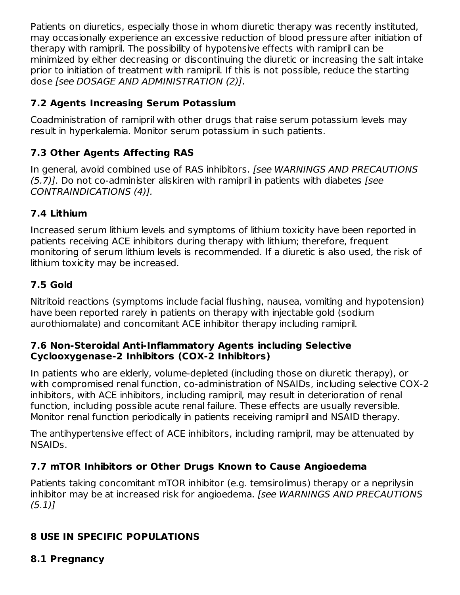Patients on diuretics, especially those in whom diuretic therapy was recently instituted, may occasionally experience an excessive reduction of blood pressure after initiation of therapy with ramipril. The possibility of hypotensive effects with ramipril can be minimized by either decreasing or discontinuing the diuretic or increasing the salt intake prior to initiation of treatment with ramipril. If this is not possible, reduce the starting dose [see DOSAGE AND ADMINISTRATION (2)].

## **7.2 Agents Increasing Serum Potassium**

Coadministration of ramipril with other drugs that raise serum potassium levels may result in hyperkalemia. Monitor serum potassium in such patients.

# **7.3 Other Agents Affecting RAS**

In general, avoid combined use of RAS inhibitors. [see WARNINGS AND PRECAUTIONS] (5.7)]. Do not co-administer aliskiren with ramipril in patients with diabetes [see CONTRAINDICATIONS (4)].

## **7.4 Lithium**

Increased serum lithium levels and symptoms of lithium toxicity have been reported in patients receiving ACE inhibitors during therapy with lithium; therefore, frequent monitoring of serum lithium levels is recommended. If a diuretic is also used, the risk of lithium toxicity may be increased.

# **7.5 Gold**

Nitritoid reactions (symptoms include facial flushing, nausea, vomiting and hypotension) have been reported rarely in patients on therapy with injectable gold (sodium aurothiomalate) and concomitant ACE inhibitor therapy including ramipril.

#### **7.6 Non-Steroidal Anti-Inflammatory Agents including Selective Cyclooxygenase-2 Inhibitors (COX-2 Inhibitors)**

In patients who are elderly, volume-depleted (including those on diuretic therapy), or with compromised renal function, co-administration of NSAIDs, including selective COX-2 inhibitors, with ACE inhibitors, including ramipril, may result in deterioration of renal function, including possible acute renal failure. These effects are usually reversible. Monitor renal function periodically in patients receiving ramipril and NSAID therapy.

The antihypertensive effect of ACE inhibitors, including ramipril, may be attenuated by NSAIDs.

# **7.7 mTOR Inhibitors or Other Drugs Known to Cause Angioedema**

Patients taking concomitant mTOR inhibitor (e.g. temsirolimus) therapy or a neprilysin inhibitor may be at increased risk for angioedema. [see WARNINGS AND PRECAUTIONS  $(5.1)$ ]

# **8 USE IN SPECIFIC POPULATIONS**

## **8.1 Pregnancy**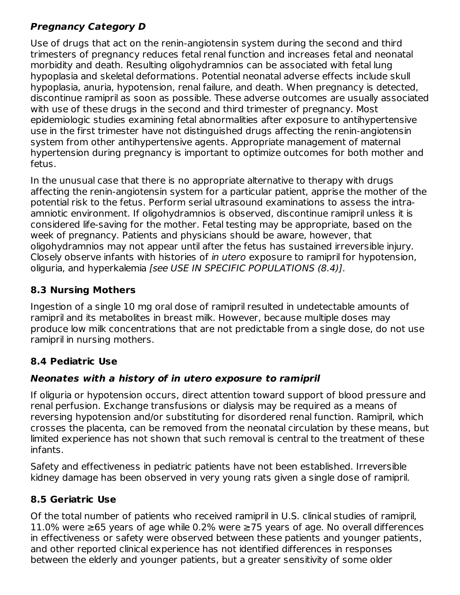## **Pregnancy Category D**

Use of drugs that act on the renin-angiotensin system during the second and third trimesters of pregnancy reduces fetal renal function and increases fetal and neonatal morbidity and death. Resulting oligohydramnios can be associated with fetal lung hypoplasia and skeletal deformations. Potential neonatal adverse effects include skull hypoplasia, anuria, hypotension, renal failure, and death. When pregnancy is detected, discontinue ramipril as soon as possible. These adverse outcomes are usually associated with use of these drugs in the second and third trimester of pregnancy. Most epidemiologic studies examining fetal abnormalities after exposure to antihypertensive use in the first trimester have not distinguished drugs affecting the renin-angiotensin system from other antihypertensive agents. Appropriate management of maternal hypertension during pregnancy is important to optimize outcomes for both mother and fetus.

In the unusual case that there is no appropriate alternative to therapy with drugs affecting the renin-angiotensin system for a particular patient, apprise the mother of the potential risk to the fetus. Perform serial ultrasound examinations to assess the intraamniotic environment. If oligohydramnios is observed, discontinue ramipril unless it is considered life-saving for the mother. Fetal testing may be appropriate, based on the week of pregnancy. Patients and physicians should be aware, however, that oligohydramnios may not appear until after the fetus has sustained irreversible injury. Closely observe infants with histories of in utero exposure to ramipril for hypotension, oliguria, and hyperkalemia [see USE IN SPECIFIC POPULATIONS (8.4)].

## **8.3 Nursing Mothers**

Ingestion of a single 10 mg oral dose of ramipril resulted in undetectable amounts of ramipril and its metabolites in breast milk. However, because multiple doses may produce low milk concentrations that are not predictable from a single dose, do not use ramipril in nursing mothers.

## **8.4 Pediatric Use**

## **Neonates with a history of in utero exposure to ramipril**

If oliguria or hypotension occurs, direct attention toward support of blood pressure and renal perfusion. Exchange transfusions or dialysis may be required as a means of reversing hypotension and/or substituting for disordered renal function. Ramipril, which crosses the placenta, can be removed from the neonatal circulation by these means, but limited experience has not shown that such removal is central to the treatment of these infants.

Safety and effectiveness in pediatric patients have not been established. Irreversible kidney damage has been observed in very young rats given a single dose of ramipril.

## **8.5 Geriatric Use**

Of the total number of patients who received ramipril in U.S. clinical studies of ramipril, 11.0% were ≥65 years of age while 0.2% were ≥75 years of age. No overall differences in effectiveness or safety were observed between these patients and younger patients, and other reported clinical experience has not identified differences in responses between the elderly and younger patients, but a greater sensitivity of some older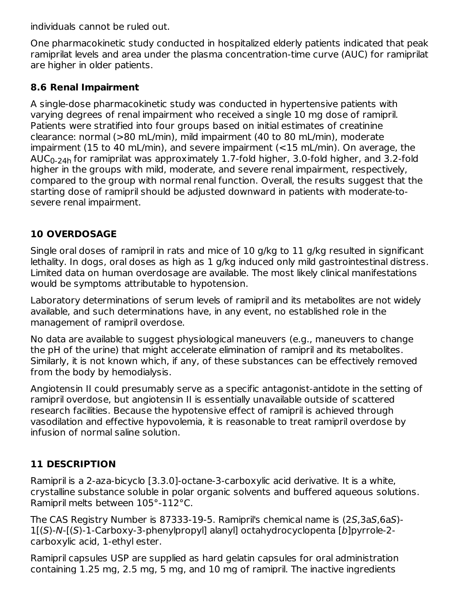individuals cannot be ruled out.

One pharmacokinetic study conducted in hospitalized elderly patients indicated that peak ramiprilat levels and area under the plasma concentration-time curve (AUC) for ramiprilat are higher in older patients.

#### **8.6 Renal Impairment**

A single-dose pharmacokinetic study was conducted in hypertensive patients with varying degrees of renal impairment who received a single 10 mg dose of ramipril. Patients were stratified into four groups based on initial estimates of creatinine clearance: normal (>80 mL/min), mild impairment (40 to 80 mL/min), moderate impairment (15 to 40 mL/min), and severe impairment (<15 mL/min). On average, the  $\mathsf{AUC}_{0\text{-}24\mathsf{h}}$  for ramiprilat was approximately  $1.7\text{-}$ fold higher, 3.0-fold higher, and 3.2-fold higher in the groups with mild, moderate, and severe renal impairment, respectively, compared to the group with normal renal function. Overall, the results suggest that the starting dose of ramipril should be adjusted downward in patients with moderate-tosevere renal impairment.

## **10 OVERDOSAGE**

Single oral doses of ramipril in rats and mice of 10 g/kg to 11 g/kg resulted in significant lethality. In dogs, oral doses as high as 1 g/kg induced only mild gastrointestinal distress. Limited data on human overdosage are available. The most likely clinical manifestations would be symptoms attributable to hypotension.

Laboratory determinations of serum levels of ramipril and its metabolites are not widely available, and such determinations have, in any event, no established role in the management of ramipril overdose.

No data are available to suggest physiological maneuvers (e.g., maneuvers to change the pH of the urine) that might accelerate elimination of ramipril and its metabolites. Similarly, it is not known which, if any, of these substances can be effectively removed from the body by hemodialysis.

Angiotensin II could presumably serve as a specific antagonist-antidote in the setting of ramipril overdose, but angiotensin II is essentially unavailable outside of scattered research facilities. Because the hypotensive effect of ramipril is achieved through vasodilation and effective hypovolemia, it is reasonable to treat ramipril overdose by infusion of normal saline solution.

## **11 DESCRIPTION**

Ramipril is a 2-aza-bicyclo [3.3.0]-octane-3-carboxylic acid derivative. It is a white, crystalline substance soluble in polar organic solvents and buffered aqueous solutions. Ramipril melts between 105°-112°C.

The CAS Registry Number is 87333-19-5. Ramipril's chemical name is (2S,3aS,6aS)- 1[(S)-N-[(S)-1-Carboxy-3-phenylpropyl] alanyl] octahydrocyclopenta [b]pyrrole-2 carboxylic acid, 1-ethyl ester.

Ramipril capsules USP are supplied as hard gelatin capsules for oral administration containing 1.25 mg, 2.5 mg, 5 mg, and 10 mg of ramipril. The inactive ingredients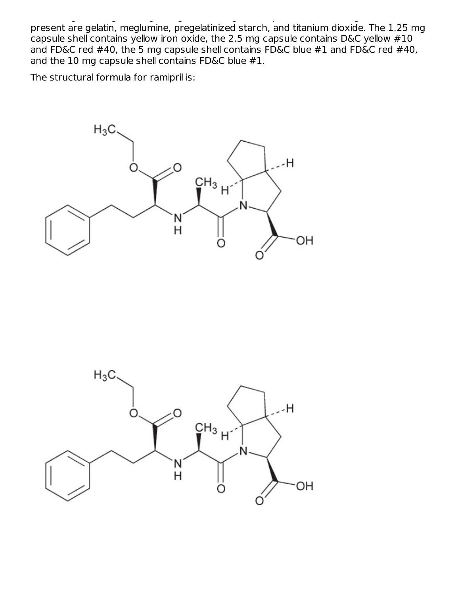containing 1.25 mg, 2.5 mg, 5 mg, and 10 mg of ramipril. The inactive ingredients present are gelatin, meglumine, pregelatinized starch, and titanium dioxide. The 1.25 mg capsule shell contains yellow iron oxide, the 2.5 mg capsule contains D&C yellow #10 and FD&C red #40, the 5 mg capsule shell contains FD&C blue #1 and FD&C red #40, and the 10 mg capsule shell contains FD&C blue #1.

The structural formula for ramipril is:



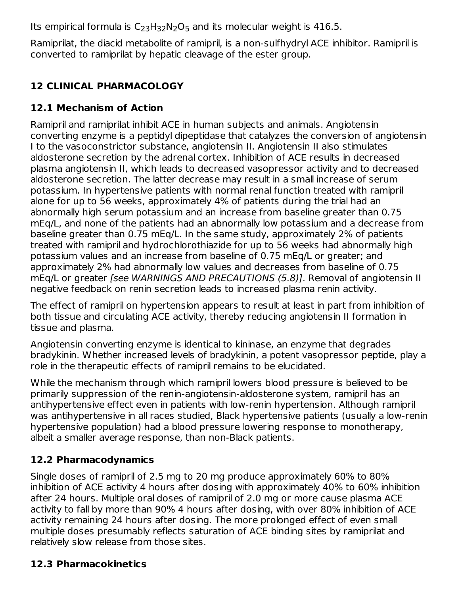Its empirical formula is  $C_{23}H_{32}N_2O_5$  and its molecular weight is 416.5.

Ramiprilat, the diacid metabolite of ramipril, is a non-sulfhydryl ACE inhibitor. Ramipril is converted to ramiprilat by hepatic cleavage of the ester group.

## **12 CLINICAL PHARMACOLOGY**

#### **12.1 Mechanism of Action**

Ramipril and ramiprilat inhibit ACE in human subjects and animals. Angiotensin converting enzyme is a peptidyl dipeptidase that catalyzes the conversion of angiotensin I to the vasoconstrictor substance, angiotensin II. Angiotensin II also stimulates aldosterone secretion by the adrenal cortex. Inhibition of ACE results in decreased plasma angiotensin II, which leads to decreased vasopressor activity and to decreased aldosterone secretion. The latter decrease may result in a small increase of serum potassium. In hypertensive patients with normal renal function treated with ramipril alone for up to 56 weeks, approximately 4% of patients during the trial had an abnormally high serum potassium and an increase from baseline greater than 0.75 mEq/L, and none of the patients had an abnormally low potassium and a decrease from baseline greater than 0.75 mEq/L. In the same study, approximately 2% of patients treated with ramipril and hydrochlorothiazide for up to 56 weeks had abnormally high potassium values and an increase from baseline of 0.75 mEq/L or greater; and approximately 2% had abnormally low values and decreases from baseline of 0.75 mEq/L or greater [see WARNINGS AND PRECAUTIONS (5.8)]. Removal of angiotensin II negative feedback on renin secretion leads to increased plasma renin activity.

The effect of ramipril on hypertension appears to result at least in part from inhibition of both tissue and circulating ACE activity, thereby reducing angiotensin II formation in tissue and plasma.

Angiotensin converting enzyme is identical to kininase, an enzyme that degrades bradykinin. Whether increased levels of bradykinin, a potent vasopressor peptide, play a role in the therapeutic effects of ramipril remains to be elucidated.

While the mechanism through which ramipril lowers blood pressure is believed to be primarily suppression of the renin-angiotensin-aldosterone system, ramipril has an antihypertensive effect even in patients with low-renin hypertension. Although ramipril was antihypertensive in all races studied, Black hypertensive patients (usually a low-renin hypertensive population) had a blood pressure lowering response to monotherapy, albeit a smaller average response, than non-Black patients.

## **12.2 Pharmacodynamics**

Single doses of ramipril of 2.5 mg to 20 mg produce approximately 60% to 80% inhibition of ACE activity 4 hours after dosing with approximately 40% to 60% inhibition after 24 hours. Multiple oral doses of ramipril of 2.0 mg or more cause plasma ACE activity to fall by more than 90% 4 hours after dosing, with over 80% inhibition of ACE activity remaining 24 hours after dosing. The more prolonged effect of even small multiple doses presumably reflects saturation of ACE binding sites by ramiprilat and relatively slow release from those sites.

## **12.3 Pharmacokinetics**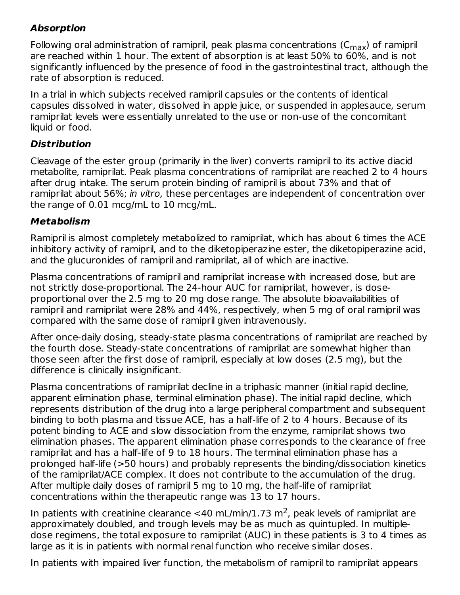## **Absorption**

Following oral administration of ramipril, peak plasma concentrations (C $_{\sf max}$ ) of ramipril are reached within 1 hour. The extent of absorption is at least 50% to 60%, and is not significantly influenced by the presence of food in the gastrointestinal tract, although the rate of absorption is reduced.

In a trial in which subjects received ramipril capsules or the contents of identical capsules dissolved in water, dissolved in apple juice, or suspended in applesauce, serum ramiprilat levels were essentially unrelated to the use or non-use of the concomitant liquid or food.

#### **Distribution**

Cleavage of the ester group (primarily in the liver) converts ramipril to its active diacid metabolite, ramiprilat. Peak plasma concentrations of ramiprilat are reached 2 to 4 hours after drug intake. The serum protein binding of ramipril is about 73% and that of ramiprilat about 56%; in vitro, these percentages are independent of concentration over the range of 0.01 mcg/mL to 10 mcg/mL.

#### **Metabolism**

Ramipril is almost completely metabolized to ramiprilat, which has about 6 times the ACE inhibitory activity of ramipril, and to the diketopiperazine ester, the diketopiperazine acid, and the glucuronides of ramipril and ramiprilat, all of which are inactive.

Plasma concentrations of ramipril and ramiprilat increase with increased dose, but are not strictly dose-proportional. The 24-hour AUC for ramiprilat, however, is doseproportional over the 2.5 mg to 20 mg dose range. The absolute bioavailabilities of ramipril and ramiprilat were 28% and 44%, respectively, when 5 mg of oral ramipril was compared with the same dose of ramipril given intravenously.

After once-daily dosing, steady-state plasma concentrations of ramiprilat are reached by the fourth dose. Steady-state concentrations of ramiprilat are somewhat higher than those seen after the first dose of ramipril, especially at low doses (2.5 mg), but the difference is clinically insignificant.

Plasma concentrations of ramiprilat decline in a triphasic manner (initial rapid decline, apparent elimination phase, terminal elimination phase). The initial rapid decline, which represents distribution of the drug into a large peripheral compartment and subsequent binding to both plasma and tissue ACE, has a half-life of 2 to 4 hours. Because of its potent binding to ACE and slow dissociation from the enzyme, ramiprilat shows two elimination phases. The apparent elimination phase corresponds to the clearance of free ramiprilat and has a half-life of 9 to 18 hours. The terminal elimination phase has a prolonged half-life (>50 hours) and probably represents the binding/dissociation kinetics of the ramiprilat/ACE complex. It does not contribute to the accumulation of the drug. After multiple daily doses of ramipril 5 mg to 10 mg, the half-life of ramiprilat concentrations within the therapeutic range was 13 to 17 hours.

In patients with creatinine clearance <40 mL/min/1.73 m<sup>2</sup>, peak levels of ramiprilat are approximately doubled, and trough levels may be as much as quintupled. In multipledose regimens, the total exposure to ramiprilat (AUC) in these patients is 3 to 4 times as large as it is in patients with normal renal function who receive similar doses.

In patients with impaired liver function, the metabolism of ramipril to ramiprilat appears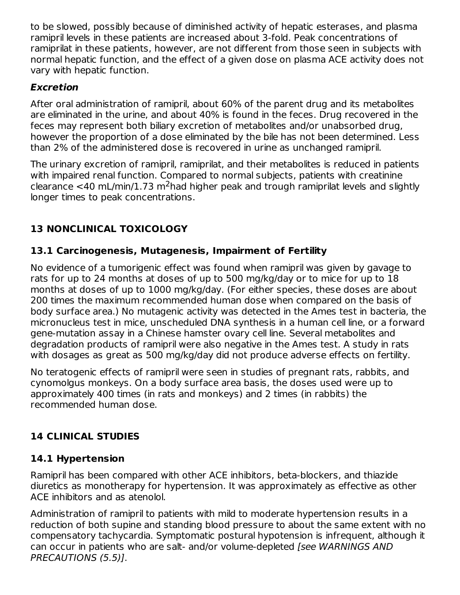to be slowed, possibly because of diminished activity of hepatic esterases, and plasma ramipril levels in these patients are increased about 3-fold. Peak concentrations of ramiprilat in these patients, however, are not different from those seen in subjects with normal hepatic function, and the effect of a given dose on plasma ACE activity does not vary with hepatic function.

#### **Excretion**

After oral administration of ramipril, about 60% of the parent drug and its metabolites are eliminated in the urine, and about 40% is found in the feces. Drug recovered in the feces may represent both biliary excretion of metabolites and/or unabsorbed drug, however the proportion of a dose eliminated by the bile has not been determined. Less than 2% of the administered dose is recovered in urine as unchanged ramipril.

The urinary excretion of ramipril, ramiprilat, and their metabolites is reduced in patients with impaired renal function. Compared to normal subjects, patients with creatinine clearance <40 mL/min/1.73 m<sup>2</sup>had higher peak and trough ramiprilat levels and slightly longer times to peak concentrations.

## **13 NONCLINICAL TOXICOLOGY**

## **13.1 Carcinogenesis, Mutagenesis, Impairment of Fertility**

No evidence of a tumorigenic effect was found when ramipril was given by gavage to rats for up to 24 months at doses of up to 500 mg/kg/day or to mice for up to 18 months at doses of up to 1000 mg/kg/day. (For either species, these doses are about 200 times the maximum recommended human dose when compared on the basis of body surface area.) No mutagenic activity was detected in the Ames test in bacteria, the micronucleus test in mice, unscheduled DNA synthesis in a human cell line, or a forward gene-mutation assay in a Chinese hamster ovary cell line. Several metabolites and degradation products of ramipril were also negative in the Ames test. A study in rats with dosages as great as 500 mg/kg/day did not produce adverse effects on fertility.

No teratogenic effects of ramipril were seen in studies of pregnant rats, rabbits, and cynomolgus monkeys. On a body surface area basis, the doses used were up to approximately 400 times (in rats and monkeys) and 2 times (in rabbits) the recommended human dose.

# **14 CLINICAL STUDIES**

## **14.1 Hypertension**

Ramipril has been compared with other ACE inhibitors, beta-blockers, and thiazide diuretics as monotherapy for hypertension. It was approximately as effective as other ACE inhibitors and as atenolol.

Administration of ramipril to patients with mild to moderate hypertension results in a reduction of both supine and standing blood pressure to about the same extent with no compensatory tachycardia. Symptomatic postural hypotension is infrequent, although it can occur in patients who are salt- and/or volume-depleted [see WARNINGS AND PRECAUTIONS (5.5)].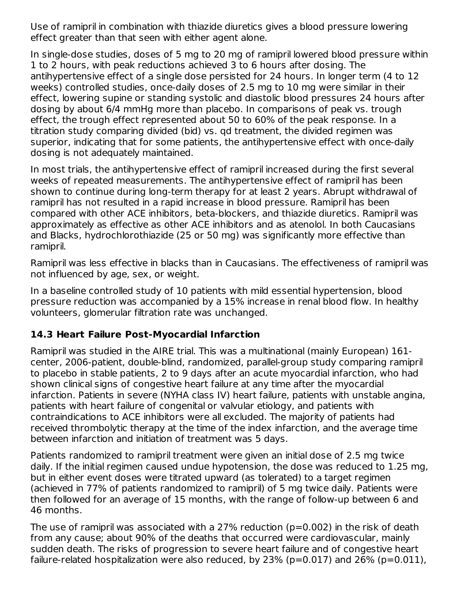Use of ramipril in combination with thiazide diuretics gives a blood pressure lowering effect greater than that seen with either agent alone.

In single-dose studies, doses of 5 mg to 20 mg of ramipril lowered blood pressure within 1 to 2 hours, with peak reductions achieved 3 to 6 hours after dosing. The antihypertensive effect of a single dose persisted for 24 hours. In longer term (4 to 12 weeks) controlled studies, once-daily doses of 2.5 mg to 10 mg were similar in their effect, lowering supine or standing systolic and diastolic blood pressures 24 hours after dosing by about 6/4 mmHg more than placebo. In comparisons of peak vs. trough effect, the trough effect represented about 50 to 60% of the peak response. In a titration study comparing divided (bid) vs. qd treatment, the divided regimen was superior, indicating that for some patients, the antihypertensive effect with once-daily dosing is not adequately maintained.

In most trials, the antihypertensive effect of ramipril increased during the first several weeks of repeated measurements. The antihypertensive effect of ramipril has been shown to continue during long-term therapy for at least 2 years. Abrupt withdrawal of ramipril has not resulted in a rapid increase in blood pressure. Ramipril has been compared with other ACE inhibitors, beta-blockers, and thiazide diuretics. Ramipril was approximately as effective as other ACE inhibitors and as atenolol. In both Caucasians and Blacks, hydrochlorothiazide (25 or 50 mg) was significantly more effective than ramipril.

Ramipril was less effective in blacks than in Caucasians. The effectiveness of ramipril was not influenced by age, sex, or weight.

In a baseline controlled study of 10 patients with mild essential hypertension, blood pressure reduction was accompanied by a 15% increase in renal blood flow. In healthy volunteers, glomerular filtration rate was unchanged.

#### **14.3 Heart Failure Post-Myocardial Infarction**

Ramipril was studied in the AIRE trial. This was a multinational (mainly European) 161 center, 2006-patient, double-blind, randomized, parallel-group study comparing ramipril to placebo in stable patients, 2 to 9 days after an acute myocardial infarction, who had shown clinical signs of congestive heart failure at any time after the myocardial infarction. Patients in severe (NYHA class IV) heart failure, patients with unstable angina, patients with heart failure of congenital or valvular etiology, and patients with contraindications to ACE inhibitors were all excluded. The majority of patients had received thrombolytic therapy at the time of the index infarction, and the average time between infarction and initiation of treatment was 5 days.

Patients randomized to ramipril treatment were given an initial dose of 2.5 mg twice daily. If the initial regimen caused undue hypotension, the dose was reduced to 1.25 mg, but in either event doses were titrated upward (as tolerated) to a target regimen (achieved in 77% of patients randomized to ramipril) of 5 mg twice daily. Patients were then followed for an average of 15 months, with the range of follow-up between 6 and 46 months.

The use of ramipril was associated with a 27% reduction (p=0.002) in the risk of death from any cause; about 90% of the deaths that occurred were cardiovascular, mainly sudden death. The risks of progression to severe heart failure and of congestive heart failure-related hospitalization were also reduced, by  $23\%$  (p=0.017) and  $26\%$  (p=0.011),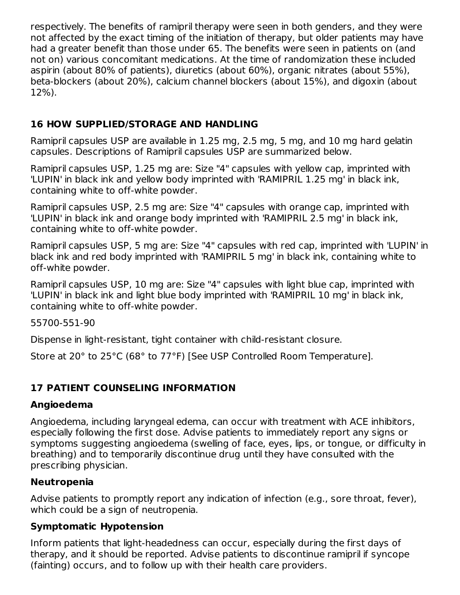respectively. The benefits of ramipril therapy were seen in both genders, and they were not affected by the exact timing of the initiation of therapy, but older patients may have had a greater benefit than those under 65. The benefits were seen in patients on (and not on) various concomitant medications. At the time of randomization these included aspirin (about 80% of patients), diuretics (about 60%), organic nitrates (about 55%), beta-blockers (about 20%), calcium channel blockers (about 15%), and digoxin (about 12%).

#### **16 HOW SUPPLIED/STORAGE AND HANDLING**

Ramipril capsules USP are available in 1.25 mg, 2.5 mg, 5 mg, and 10 mg hard gelatin capsules. Descriptions of Ramipril capsules USP are summarized below.

Ramipril capsules USP, 1.25 mg are: Size "4" capsules with yellow cap, imprinted with 'LUPIN' in black ink and yellow body imprinted with 'RAMIPRIL 1.25 mg' in black ink, containing white to off-white powder.

Ramipril capsules USP, 2.5 mg are: Size "4" capsules with orange cap, imprinted with 'LUPIN' in black ink and orange body imprinted with 'RAMIPRIL 2.5 mg' in black ink, containing white to off-white powder.

Ramipril capsules USP, 5 mg are: Size "4" capsules with red cap, imprinted with 'LUPIN' in black ink and red body imprinted with 'RAMIPRIL 5 mg' in black ink, containing white to off-white powder.

Ramipril capsules USP, 10 mg are: Size "4" capsules with light blue cap, imprinted with 'LUPIN' in black ink and light blue body imprinted with 'RAMIPRIL 10 mg' in black ink, containing white to off-white powder.

55700-551-90

Dispense in light-resistant, tight container with child-resistant closure.

Store at 20° to 25°C (68° to 77°F) [See USP Controlled Room Temperature].

#### **17 PATIENT COUNSELING INFORMATION**

#### **Angioedema**

Angioedema, including laryngeal edema, can occur with treatment with ACE inhibitors, especially following the first dose. Advise patients to immediately report any signs or symptoms suggesting angioedema (swelling of face, eyes, lips, or tongue, or difficulty in breathing) and to temporarily discontinue drug until they have consulted with the prescribing physician.

#### **Neutropenia**

Advise patients to promptly report any indication of infection (e.g., sore throat, fever), which could be a sign of neutropenia.

#### **Symptomatic Hypotension**

Inform patients that light-headedness can occur, especially during the first days of therapy, and it should be reported. Advise patients to discontinue ramipril if syncope (fainting) occurs, and to follow up with their health care providers.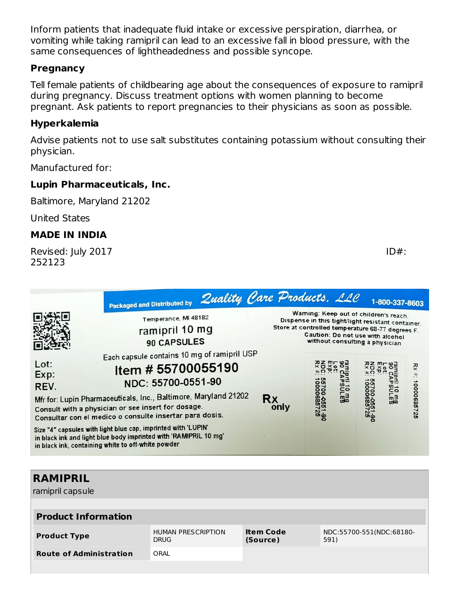Inform patients that inadequate fluid intake or excessive perspiration, diarrhea, or vomiting while taking ramipril can lead to an excessive fall in blood pressure, with the same consequences of lightheadedness and possible syncope.

#### **Pregnancy**

Tell female patients of childbearing age about the consequences of exposure to ramipril during pregnancy. Discuss treatment options with women planning to become pregnant. Ask patients to report pregnancies to their physicians as soon as possible.

#### **Hyperkalemia**

Advise patients not to use salt substitutes containing potassium without consulting their physician.

Manufactured for:

#### **Lupin Pharmaceuticals, Inc.**

Baltimore, Maryland 21202

United States

#### **MADE IN INDIA**

Revised: July 2017  $ID#$ : 252123



| <b>RAMIPRIL</b><br>ramipril capsule |                                          |                              |                                  |
|-------------------------------------|------------------------------------------|------------------------------|----------------------------------|
| <b>Product Information</b>          |                                          |                              |                                  |
| <b>Product Type</b>                 | <b>HUMAN PRESCRIPTION</b><br><b>DRUG</b> | <b>Item Code</b><br>(Source) | NDC:55700-551(NDC:68180-<br>591) |
| <b>Route of Administration</b>      | ORAL                                     |                              |                                  |
|                                     |                                          |                              |                                  |